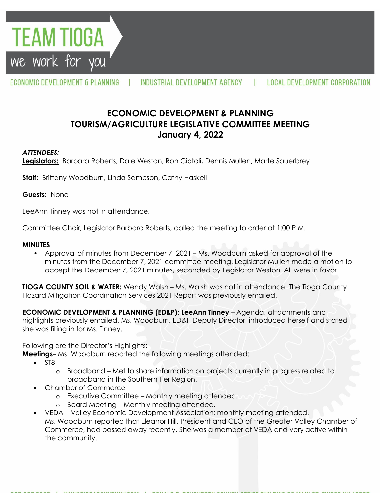

ECONOMIC DEVELOPMENT & PLANNING

INDUSTRIAL DEVELOPMENT AGENCY

# **ECONOMIC DEVELOPMENT & PLANNING TOURISM/AGRICULTURE LEGISLATIVE COMMITTEE MEETING January 4, 2022**

### *ATTENDEES:*

**Legislators:** Barbara Roberts, Dale Weston, Ron Ciotoli, Dennis Mullen, Marte Sauerbrey

**Staff:** Brittany Woodburn, Linda Sampson, Cathy Haskell

#### **Guests:** None

LeeAnn Tinney was not in attendance.

Committee Chair, Legislator Barbara Roberts, called the meeting to order at 1:00 P.M.

#### **MINUTES**

• Approval of minutes from December 7, 2021 – Ms. Woodburn asked for approval of the minutes from the December 7, 2021 committee meeting. Legislator Mullen made a motion to accept the December 7, 2021 minutes, seconded by Legislator Weston. All were in favor.

**TIOGA COUNTY SOIL & WATER:** Wendy Walsh – Ms. Walsh was not in attendance. The Tioga County Hazard Mitigation Coordination Services 2021 Report was previously emailed.

**ECONOMIC DEVELOPMENT & PLANNING (ED&P): LeeAnn Tinney** – Agenda, attachments and highlights previously emailed. Ms. Woodburn, ED&P Deputy Director, introduced herself and stated she was filling in for Ms. Tinney.

Following are the Director's Highlights:

**Meetings**– Ms. Woodburn reported the following meetings attended:

- ST8
	- o Broadband Met to share information on projects currently in progress related to broadband in the Southern Tier Region.
- Chamber of Commerce
	- o Executive Committee Monthly meeting attended.
	- o Board Meeting Monthly meeting attended.
- VEDA Valley Economic Development Association; monthly meeting attended. Ms. Woodburn reported that Eleanor Hill, President and CEO of the Greater Valley Chamber of Commerce, had passed away recently. She was a member of VEDA and very active within the community.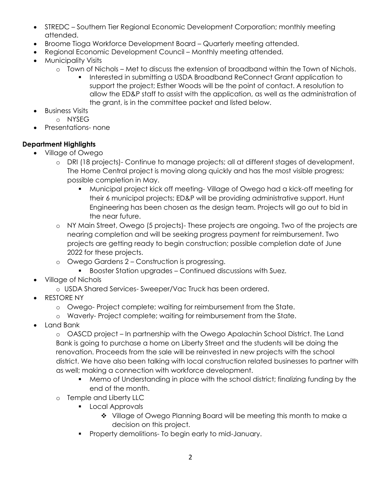- STREDC Southern Tier Regional Economic Development Corporation; monthly meeting attended.
- Broome Tioga Workforce Development Board Quarterly meeting attended.
- Regional Economic Development Council Monthly meeting attended.
- Municipality Visits
	- o Town of Nichols Met to discuss the extension of broadband within the Town of Nichols.
		- Interested in submitting a USDA Broadband ReConnect Grant application to support the project; Esther Woods will be the point of contact. A resolution to allow the ED&P staff to assist with the application, as well as the administration of the grant, is in the committee packet and listed below.
- Business Visits
	- o NYSEG
- Presentations- none

## **Department Highlights**

- Village of Owego
	- o DRI (18 projects)- Continue to manage projects; all at different stages of development. The Home Central project is moving along quickly and has the most visible progress; possible completion in May.
		- Municipal project kick off meeting- Village of Owego had a kick-off meeting for their 6 municipal projects; ED&P will be providing administrative support. Hunt Engineering has been chosen as the design team. Projects will go out to bid in the near future.
	- o NY Main Street, Owego (5 projects)- These projects are ongoing. Two of the projects are nearing completion and will be seeking progress payment for reimbursement. Two projects are getting ready to begin construction; possible completion date of June 2022 for these projects.
	- o Owego Gardens 2 Construction is progressing.
		- Booster Station upgrades Continued discussions with Suez.
- Village of Nichols
	- o USDA Shared Services- Sweeper/Vac Truck has been ordered.
- RESTORE NY
	- o Owego- Project complete; waiting for reimbursement from the State.
	- o Waverly- Project complete; waiting for reimbursement from the State.
- Land Bank

o OASCD project – In partnership with the Owego Apalachin School District. The Land Bank is going to purchase a home on Liberty Street and the students will be doing the renovation. Proceeds from the sale will be reinvested in new projects with the school district. We have also been talking with local construction related businesses to partner with as well; making a connection with workforce development.

- Memo of Understanding in place with the school district; finalizing funding by the end of the month.
- o Temple and Liberty LLC
	- **Local Approvals** 
		- Village of Owego Planning Board will be meeting this month to make a decision on this project.
	- **Property demolitions- To begin early to mid-January.**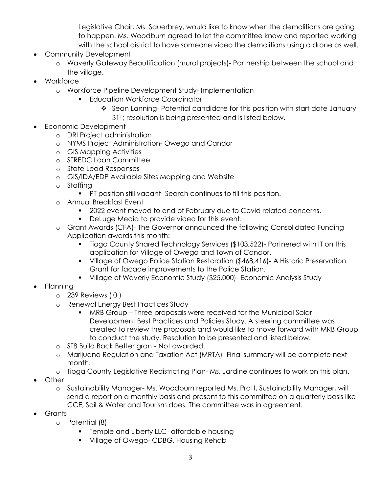Legislative Chair, Ms. Sauerbrey, would like to know when the demolitions are going to happen. Ms. Woodburn agreed to let the committee know and reported working with the school district to have someone video the demolitions using a drone as well.

- Community Development
	- o Waverly Gateway Beautification (mural projects)- Partnership between the school and the village.
- Workforce
	- o Workforce Pipeline Development Study- Implementation
		- Education Workforce Coordinator
			- ❖ Sean Lanning- Potential candidate for this position with start date January 31<sup>st</sup>; resolution is being presented and is listed below.
- Economic Development
	- o DRI Project administration
	- o NYMS Project Administration- Owego and Candor
	- o GIS Mapping Activities
	- o STREDC Loan Committee
	- o State Lead Responses
	- o GIS/IDA/EDP Available Sites Mapping and Website
	- o Staffing
		- **PT position still vacant- Search continues to fill this position.**
	- o Annual Breakfast Event
		- 2022 event moved to end of February due to Covid related concerns.
		- **Deluge Media to provide video for this event.**
	- o Grant Awards (CFA)- The Governor announced the following Consolidated Funding Application awards this month:
		- Tioga County Shared Technology Services (\$103,522)- Partnered with IT on this application for Village of Owego and Town of Candor.
		- Village of Owego Police Station Restoration (\$468,416)- A Historic Preservation Grant for facade improvements to the Police Station.
		- Village of Waverly Economic Study (\$25,000)- Economic Analysis Study
- Planning
	- o 239 Reviews ( 0 )
		- o Renewal Energy Best Practices Study
			- MRB Group Three proposals were received for the Municipal Solar Development Best Practices and Policies Study. A steering committee was created to review the proposals and would like to move forward with MRB Group to conduct the study. Resolution to be presented and listed below.
		- o ST8 Build Back Better grant- Not awarded.
		- o Marijuana Regulation and Taxation Act (MRTA)- Final summary will be complete next month.
		- o Tioga County Legislative Redistricting Plan- Ms. Jardine continues to work on this plan.
- **Other** 
	- o Sustainability Manager- Ms. Woodburn reported Ms. Pratt, Sustainability Manager, will send a report on a monthly basis and present to this committee on a quarterly basis like CCE, Soil & Water and Tourism does. The committee was in agreement.
- Grants
	- o Potential (8)
		- **Temple and Liberty LLC- affordable housing**
		- **Village of Owego- CDBG, Housing Rehab**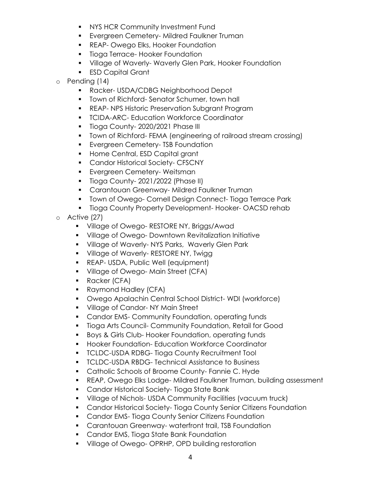- **NYS HCR Community Investment Fund**
- **Evergreen Cemetery-Mildred Faulkner Truman**
- **REAP- Owego Elks, Hooker Foundation**
- **Tioga Terrace-Hooker Foundation**
- **Village of Waverly- Waverly Glen Park, Hooker Foundation**
- **ESD Capital Grant**
- o Pending (14)
	- **Racker- USDA/CDBG Neighborhood Depot**
	- **Town of Richford- Senator Schumer, town hall**
	- **REAP- NPS Historic Preservation Subgrant Program**
	- **TCIDA-ARC- Education Workforce Coordinator**
	- **Tioga County-2020/2021 Phase III**
	- Town of Richford- FEMA (engineering of railroad stream crossing)
	- **Evergreen Cemetery- TSB Foundation**
	- **Home Central, ESD Capital grant**
	- **Candor Historical Society- CFSCNY**
	- **Evergreen Cemetery- Weitsman**
	- **Tioga County-2021/2022 (Phase II)**
	- **Carantouan Greenway-Mildred Faulkner Truman**
	- **Town of Owego- Cornell Design Connect- Tioga Terrace Park**
	- **Tioga County Property Development- Hooker- OACSD rehab**
- o Active (27)
	- **Village of Owego- RESTORE NY, Briggs/Awad**
	- Village of Owego- Downtown Revitalization Initiative
	- **Village of Waverly-NYS Parks, Waverly Glen Park**
	- **Village of Waverly- RESTORE NY, Twigg**
	- **REAP- USDA, Public Well (equipment)**
	- **Village of Owego-Main Street (CFA)**
	- **Racker (CFA)**
	- **Raymond Hadley (CFA)**
	- Owego Apalachin Central School District- WDI (workforce)
	- **Village of Candor-NY Main Street**
	- **Candor EMS- Community Foundation, operating funds**
	- Tioga Arts Council- Community Foundation, Retail for Good
	- **Boys & Girls Club- Hooker Foundation, operating funds**
	- **Hooker Foundation- Education Workforce Coordinator**
	- **TCLDC-USDA RDBG- Tioga County Recruitment Tool**
	- **TCLDC-USDA RBDG- Technical Assistance to Business**
	- **Catholic Schools of Broome County- Fannie C. Hyde**
	- REAP, Owego Elks Lodge- Mildred Faulkner Truman, building assessment
	- **Candor Historical Society- Tioga State Bank**
	- Village of Nichols- USDA Community Facilities (vacuum truck)
	- **Candor Historical Society- Tioga County Senior Citizens Foundation**
	- **Candor EMS- Tioga County Senior Citizens Foundation**
	- **EXEC** Carantouan Greenway- waterfront trail, TSB Foundation
	- **Candor EMS, Tioga State Bank Foundation**
	- **Village of Owego- OPRHP, OPD building restoration**